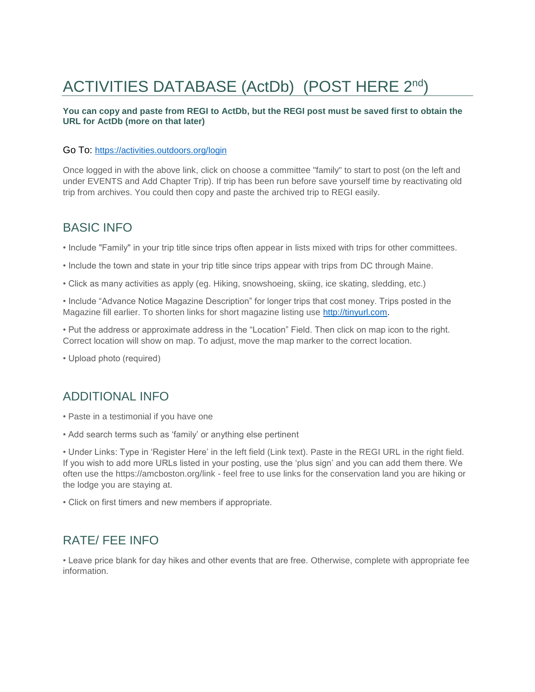# ACTIVITIES DATABASE (ActDb) (POST HERE 2<sup>nd</sup>)

### **You can copy and paste from REGI to ActDb, but the REGI post must be saved first to obtain the URL for ActDb (more on that later)**

#### Go To: <https://activities.outdoors.org/login>

Once logged in with the above link, click on choose a committee "family" to start to post (on the left and under EVENTS and Add Chapter Trip). If trip has been run before save yourself time by reactivating old trip from archives. You could then copy and paste the archived trip to REGI easily.

# BASIC INFO

• Include "Family" in your trip title since trips often appear in lists mixed with trips for other committees.

• Include the town and state in your trip title since trips appear with trips from DC through Maine.

• Click as many activities as apply (eg. Hiking, snowshoeing, skiing, ice skating, sledding, etc.)

• Include "Advance Notice Magazine Description" for longer trips that cost money. Trips posted in the Magazine fill earlier. To shorten links for short magazine listing use [http://tinyurl.com.](http://tinyurl.com/)

• Put the address or approximate address in the "Location" Field. Then click on map icon to the right. Correct location will show on map. To adjust, move the map marker to the correct location.

• Upload photo (required)

## ADDITIONAL INFO

- Paste in a testimonial if you have one
- Add search terms such as 'family' or anything else pertinent

• Under Links: Type in 'Register Here' in the left field (Link text). Paste in the REGI URL in the right field. If you wish to add more URLs listed in your posting, use the 'plus sign' and you can add them there. We often use the https://amcboston.org/link - feel free to use links for the conservation land you are hiking or the lodge you are staying at.

• Click on first timers and new members if appropriate.

# RATE/ FEE INFO

• Leave price blank for day hikes and other events that are free. Otherwise, complete with appropriate fee information.